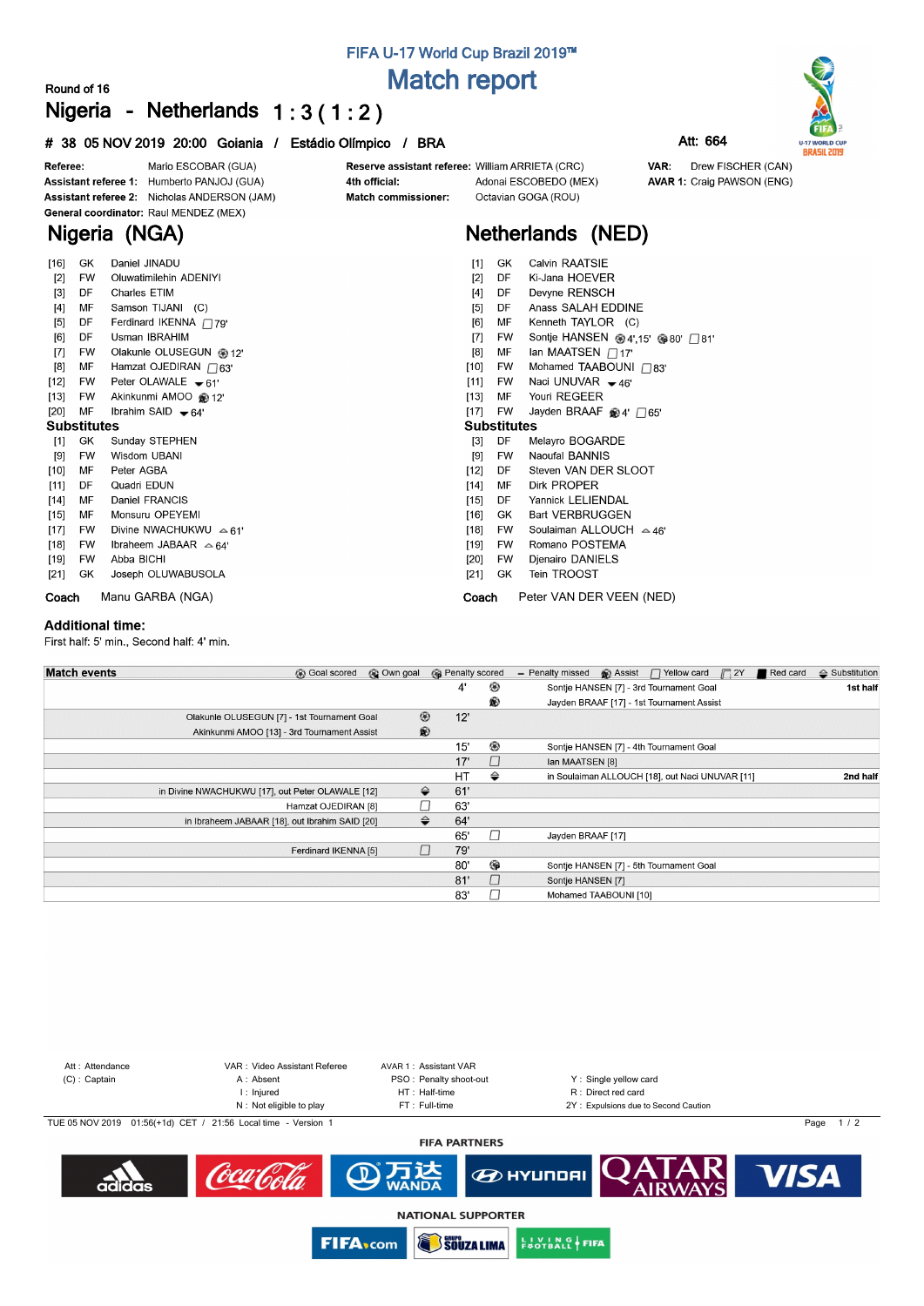# **Match report**

### **Round of 16 Nigeria - Netherlands 1 : 3 ( 1 : 2 )**

### Mario ESCOBAR (GUA) Referee: Reserve assistant referee: William ARRIETA (CRC) Assistant referee 1: Humberto PANJOJ (GUA) 4th official: Adonai ESCOBEDO (MEX) **AVAR 1: Craig PAWSON (ENG)** Assistant referee 2: Nicholas ANDERSON (JAM) Octavian GOGA (ROU) Match commissioner: General coordinator: Raul MENDEZ (MEX) **Nigeria (NGA) Netherlands (NED)**  $[16]$ GK Daniel JINADU GK Calvin RAATSIE  $[1]$  $[2]$ **FW** Oluwatimilehin ADENIYI  $[2]$ DF Ki-Jana HOEVER DF Charles ETIM  $[4]$ DF Devyne RENSCH  $[3]$ Anass SALAH EDDINE  $[4]$ MF Samson TIJANI (C)  $[5]$ DE  $[5]$ DF Ferdinard IKENNA 779'  $[6]$ **MF** Kenneth TAYLOR (C) Sontje HANSEN <sup>@</sup>4',15' <sup>@</sup>80' □81' [6] DE **Ilsman IRRAHIM**  $\overline{171}$ **FW**  $[7]$ **FW** Olakunle OLUSEGUN @ 12'  $[8]$ MF Ian MAATSEN  $\Box$ 17' Hamzat OJEDIRAN  $\overline{\bigcap}$ 63'  $[8]$ MF  $[10]$ **FW** Mohamed TAABOUNI 783' Naci UNUVAR + 46'  $[12]$ **EW** Peter OLAWALE = 61'  $[11]$ **EW**  $[13]$ **FW** Akinkunmi AMOO @12  $[13]$ **MF** Youri REGEER Ibrahim SAID  $\blacktriangleright$  64' Jayden BRAAF ®4' □65'  $[20]$ MF  $[17]$ **FW Substitutes Substitutes** Melayro BOGARDE DF [3]

 $[9]$ **FW** 

DF

**MF** 

Sunday STEPHEN **GK**  $[1]$  $[9]$ **FW** Wisdom UBANI  $[10]$ MF Peter AGBA  $[12]$ DF Quadri EDUN  $[11]$  $[14]$ MF Daniel FRANCIS  $[14]$  $[15]$ MF Monsuru OPEYEMI  $[15]$  $[17]$ **FW** Divine NWACHUKWU  $\approx$  61'  $[18]$ **FW** Ibraheem JABAAR  $\approx$  64' **FW** Abba BICHI  $[19]$  $[21]$ GK Joseph OLUWABUSOLA

**Coach** Manu GARBA (NGA)

### **Additional time:**

First half: 5' min., Second half: 4' min.

| <b>Match events</b> | <b>B</b> Goal scored                             | © Own goal |                | <b>B</b> Penalty scored |                                                | - Penalty missed      | <b>B</b> Assist | $\Box$ Yellow card $\Box$ 2Y                    |  | Red card | $\triangleq$ Substitution |
|---------------------|--------------------------------------------------|------------|----------------|-------------------------|------------------------------------------------|-----------------------|-----------------|-------------------------------------------------|--|----------|---------------------------|
|                     |                                                  |            |                | 4'                      | ⊛                                              |                       |                 | Sontje HANSEN [7] - 3rd Tournament Goal         |  |          | 1st half                  |
|                     |                                                  |            |                |                         | ®<br>Jayden BRAAF [17] - 1st Tournament Assist |                       |                 |                                                 |  |          |                           |
|                     | Olakunle OLUSEGUN [7] - 1st Tournament Goal      |            | $^{\circledR}$ | 12'                     |                                                |                       |                 |                                                 |  |          |                           |
|                     | Akinkunmi AMOO [13] - 3rd Tournament Assist      |            | $\circledR$    |                         |                                                |                       |                 |                                                 |  |          |                           |
|                     |                                                  |            |                | 15'                     | ⊛                                              |                       |                 | Sontje HANSEN [7] - 4th Tournament Goal         |  |          |                           |
|                     |                                                  |            |                | 17'                     | $\Box$                                         | Ian MAATSEN [8]       |                 |                                                 |  |          |                           |
|                     |                                                  |            |                | HT                      | ⇔                                              |                       |                 | in Soulaiman ALLOUCH [18], out Naci UNUVAR [11] |  |          | 2nd half                  |
|                     | in Divine NWACHUKWU [17], out Peter OLAWALE [12] |            | ⇔              | 61'                     |                                                |                       |                 |                                                 |  |          |                           |
|                     | Hamzat OJEDIRAN [8]                              |            |                | 63'                     |                                                |                       |                 |                                                 |  |          |                           |
|                     | in Ibraheem JABAAR [18], out Ibrahim SAID [20]   |            | ⇔              | 64'                     |                                                |                       |                 |                                                 |  |          |                           |
|                     |                                                  |            |                | 65'                     | $\Box$                                         | Jayden BRAAF [17]     |                 |                                                 |  |          |                           |
|                     | Ferdinard IKENNA [5]                             |            |                | 79'                     |                                                |                       |                 |                                                 |  |          |                           |
|                     |                                                  |            |                | 80'                     | ⊕                                              |                       |                 | Sontje HANSEN [7] - 5th Tournament Goal         |  |          |                           |
|                     |                                                  |            |                | 81'                     | $\Box$                                         | Sontje HANSEN [7]     |                 |                                                 |  |          |                           |
|                     |                                                  |            |                | 83'                     |                                                | Mohamed TAABOUNI [10] |                 |                                                 |  |          |                           |



## **FIFA U-17 World Cup Brazil 2019™**

**# 38 05 NOV 2019 20:00 Goiania / Estádio Olímpico / BRA Att: 664**





Drew FISCHER (CAN) VAR:

WANDA **NATIONAL SUPPORTER FROTBALL FIFA FIFA**<sub>com</sub> SOUZA LIMA

- 
- Romano POSTEMA **FW FW** Dienairo DANIELS  $[21]$ GK Tein TROOST

Naoufal BANNIS

Dirk PROPFR

Steven VAN DER SLOOT

- 
- **Coach** Peter VAN DER VEEN (NED)
- 
- DF Yannick LELIENDAL  $[16]$ GK **Bart VERBRUGGEN**  $[18]$ **FW** Soulaiman ALLOUCH  $\sim$  46'  $[19]$  $[20]$ 
	- -